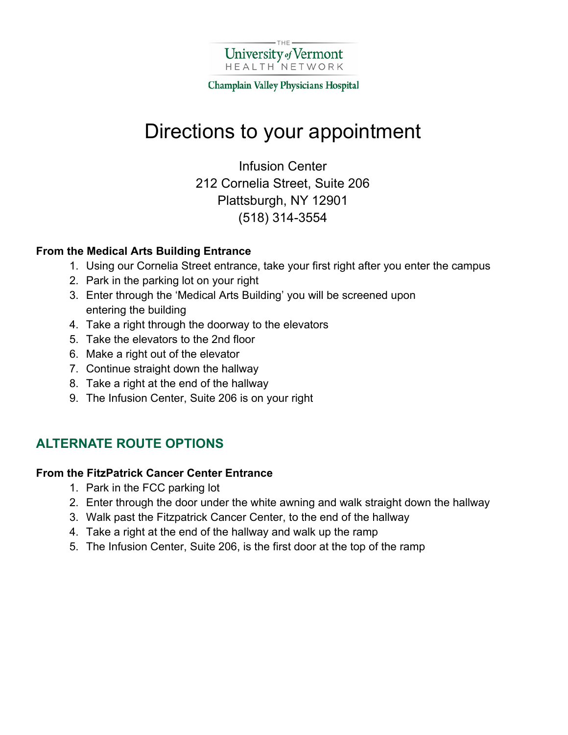

Champlain Valley Physicians Hospital

# Directions to your appointment

Infusion Center 212 Cornelia Street, Suite 206 Plattsburgh, NY 12901 (518) 314-3554

### **From the Medical Arts Building Entrance**

- 1. Using our Cornelia Street entrance, take your first right after you enter the campus
- 2. Park in the parking lot on your right
- 3. Enter through the 'Medical Arts Building' you will be screened upon entering the building
- 4. Take a right through the doorway to the elevators
- 5. Take the elevators to the 2nd floor
- 6. Make a right out of the elevator
- 7. Continue straight down the hallway
- 8. Take a right at the end of the hallway
- 9. The Infusion Center, Suite 206 is on your right

### **ALTERNATE ROUTE OPTIONS**

### **From the FitzPatrick Cancer Center Entrance**

- 1. Park in the FCC parking lot
- 2. Enter through the door under the white awning and walk straight down the hallway
- 3. Walk past the Fitzpatrick Cancer Center, to the end of the hallway
- 4. Take a right at the end of the hallway and walk up the ramp
- 5. The Infusion Center, Suite 206, is the first door at the top of the ramp